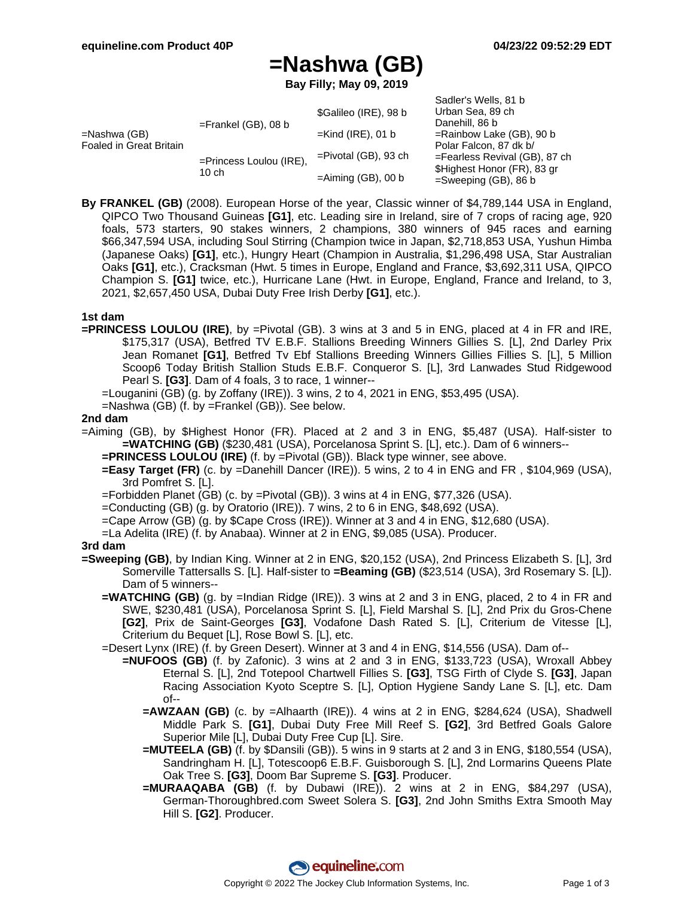Sadler's Wells, 81 b

# **=Nashwa (GB)**

**Bay Filly; May 09, 2019**

|                                         |                                     |                         | Jaulel S Wells, OT D             |
|-----------------------------------------|-------------------------------------|-------------------------|----------------------------------|
| =Nashwa (GB)<br>Foaled in Great Britain | $=$ Frankel (GB), 08 b              | \$Galileo (IRE), 98 b   | Urban Sea, 89 ch                 |
|                                         |                                     |                         | Danehill, 86 b                   |
|                                         |                                     | $=$ Kind (IRE), 01 b    | =Rainbow Lake (GB), 90 b         |
|                                         | $=$ Princess Loulou (IRE),<br>10 ch | $=$ Pivotal (GB), 93 ch | Polar Falcon, 87 dk b/           |
|                                         |                                     |                         | $=$ Fearless Revival (GB), 87 ch |
|                                         |                                     | $=$ Aiming (GB), 00 b   | \$Highest Honor (FR), 83 gr      |
|                                         |                                     |                         | $=$ Sweeping (GB), 86 b          |

**By FRANKEL (GB)** (2008). European Horse of the year, Classic winner of \$4,789,144 USA in England, QIPCO Two Thousand Guineas **[G1]**, etc. Leading sire in Ireland, sire of 7 crops of racing age, 920 foals, 573 starters, 90 stakes winners, 2 champions, 380 winners of 945 races and earning \$66,347,594 USA, including Soul Stirring (Champion twice in Japan, \$2,718,853 USA, Yushun Himba (Japanese Oaks) **[G1]**, etc.), Hungry Heart (Champion in Australia, \$1,296,498 USA, Star Australian Oaks **[G1]**, etc.), Cracksman (Hwt. 5 times in Europe, England and France, \$3,692,311 USA, QIPCO Champion S. **[G1]** twice, etc.), Hurricane Lane (Hwt. in Europe, England, France and Ireland, to 3, 2021, \$2,657,450 USA, Dubai Duty Free Irish Derby **[G1]**, etc.).

#### **1st dam**

- **=PRINCESS LOULOU (IRE)**, by =Pivotal (GB). 3 wins at 3 and 5 in ENG, placed at 4 in FR and IRE, \$175,317 (USA), Betfred TV E.B.F. Stallions Breeding Winners Gillies S. [L], 2nd Darley Prix Jean Romanet **[G1]**, Betfred Tv Ebf Stallions Breeding Winners Gillies Fillies S. [L], 5 Million Scoop6 Today British Stallion Studs E.B.F. Conqueror S. [L], 3rd Lanwades Stud Ridgewood Pearl S. **[G3]**. Dam of 4 foals, 3 to race, 1 winner--
	- =Louganini (GB) (g. by Zoffany (IRE)). 3 wins, 2 to 4, 2021 in ENG, \$53,495 (USA).
	- =Nashwa (GB) (f. by =Frankel (GB)). See below.

#### **2nd dam**

- =Aiming (GB), by \$Highest Honor (FR). Placed at 2 and 3 in ENG, \$5,487 (USA). Half-sister to **=WATCHING (GB)** (\$230,481 (USA), Porcelanosa Sprint S. [L], etc.). Dam of 6 winners--
	- **=PRINCESS LOULOU (IRE)** (f. by =Pivotal (GB)). Black type winner, see above.
	- **=Easy Target (FR)** (c. by =Danehill Dancer (IRE)). 5 wins, 2 to 4 in ENG and FR , \$104,969 (USA), 3rd Pomfret S. [L].
	- =Forbidden Planet (GB) (c. by =Pivotal (GB)). 3 wins at 4 in ENG, \$77,326 (USA).
	- =Conducting (GB) (g. by Oratorio (IRE)). 7 wins, 2 to 6 in ENG, \$48,692 (USA).
	- =Cape Arrow (GB) (g. by \$Cape Cross (IRE)). Winner at 3 and 4 in ENG, \$12,680 (USA).
	- =La Adelita (IRE) (f. by Anabaa). Winner at 2 in ENG, \$9,085 (USA). Producer.

#### **3rd dam**

- **=Sweeping (GB)**, by Indian King. Winner at 2 in ENG, \$20,152 (USA), 2nd Princess Elizabeth S. [L], 3rd Somerville Tattersalls S. [L]. Half-sister to **=Beaming (GB)** (\$23,514 (USA), 3rd Rosemary S. [L]). Dam of 5 winners--
	- **=WATCHING (GB)** (g. by =Indian Ridge (IRE)). 3 wins at 2 and 3 in ENG, placed, 2 to 4 in FR and SWE, \$230,481 (USA), Porcelanosa Sprint S. [L], Field Marshal S. [L], 2nd Prix du Gros-Chene **[G2]**, Prix de Saint-Georges **[G3]**, Vodafone Dash Rated S. [L], Criterium de Vitesse [L], Criterium du Bequet [L], Rose Bowl S. [L], etc.
	- =Desert Lynx (IRE) (f. by Green Desert). Winner at 3 and 4 in ENG, \$14,556 (USA). Dam of--
		- **=NUFOOS (GB)** (f. by Zafonic). 3 wins at 2 and 3 in ENG, \$133,723 (USA), Wroxall Abbey Eternal S. [L], 2nd Totepool Chartwell Fillies S. **[G3]**, TSG Firth of Clyde S. **[G3]**, Japan Racing Association Kyoto Sceptre S. [L], Option Hygiene Sandy Lane S. [L], etc. Dam of--
			- **=AWZAAN (GB)** (c. by =Alhaarth (IRE)). 4 wins at 2 in ENG, \$284,624 (USA), Shadwell Middle Park S. **[G1]**, Dubai Duty Free Mill Reef S. **[G2]**, 3rd Betfred Goals Galore Superior Mile [L], Dubai Duty Free Cup [L]. Sire.
			- **=MUTEELA (GB)** (f. by \$Dansili (GB)). 5 wins in 9 starts at 2 and 3 in ENG, \$180,554 (USA), Sandringham H. [L], Totescoop6 E.B.F. Guisborough S. [L], 2nd Lormarins Queens Plate Oak Tree S. **[G3]**, Doom Bar Supreme S. **[G3]**. Producer.
			- **=MURAAQABA (GB)** (f. by Dubawi (IRE)). 2 wins at 2 in ENG, \$84,297 (USA), German-Thoroughbred.com Sweet Solera S. **[G3]**, 2nd John Smiths Extra Smooth May Hill S. **[G2]**. Producer.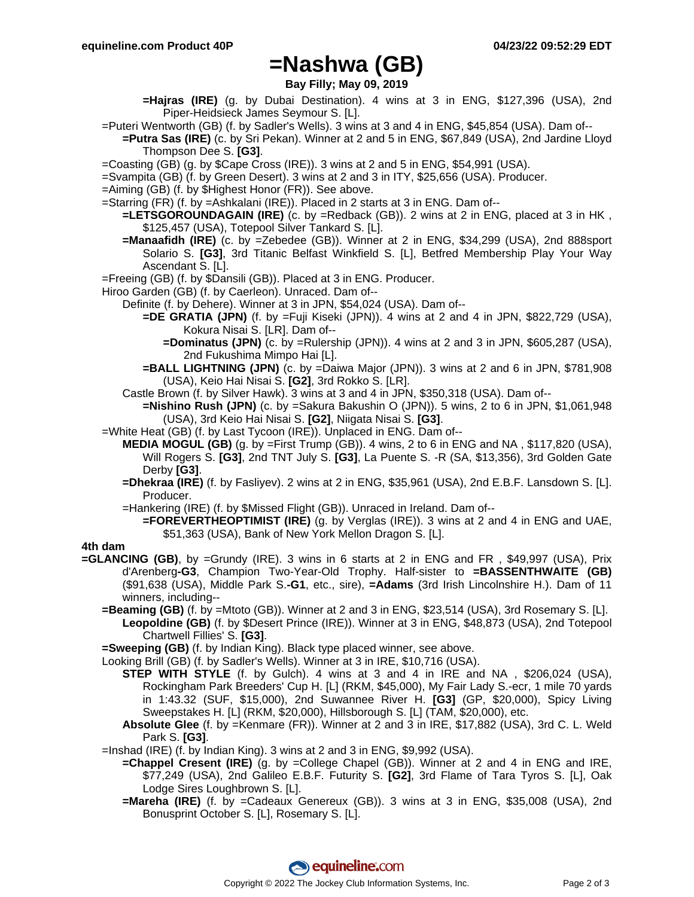### **=Nashwa (GB)**

**Bay Filly; May 09, 2019**

- **=Hajras (IRE)** (g. by Dubai Destination). 4 wins at 3 in ENG, \$127,396 (USA), 2nd Piper-Heidsieck James Seymour S. [L].
- =Puteri Wentworth (GB) (f. by Sadler's Wells). 3 wins at 3 and 4 in ENG, \$45,854 (USA). Dam of--
- **=Putra Sas (IRE)** (c. by Sri Pekan). Winner at 2 and 5 in ENG, \$67,849 (USA), 2nd Jardine Lloyd Thompson Dee S. **[G3]**.
- =Coasting (GB) (g. by \$Cape Cross (IRE)). 3 wins at 2 and 5 in ENG, \$54,991 (USA).
- =Svampita (GB) (f. by Green Desert). 3 wins at 2 and 3 in ITY, \$25,656 (USA). Producer.
- =Aiming (GB) (f. by \$Highest Honor (FR)). See above.
- =Starring (FR) (f. by =Ashkalani (IRE)). Placed in 2 starts at 3 in ENG. Dam of--
	- **=LETSGOROUNDAGAIN (IRE)** (c. by =Redback (GB)). 2 wins at 2 in ENG, placed at 3 in HK , \$125,457 (USA), Totepool Silver Tankard S. [L].
	- **=Manaafidh (IRE)** (c. by =Zebedee (GB)). Winner at 2 in ENG, \$34,299 (USA), 2nd 888sport Solario S. **[G3]**, 3rd Titanic Belfast Winkfield S. [L], Betfred Membership Play Your Way Ascendant S. [L].
- =Freeing (GB) (f. by \$Dansili (GB)). Placed at 3 in ENG. Producer.
- Hiroo Garden (GB) (f. by Caerleon). Unraced. Dam of--
	- Definite (f. by Dehere). Winner at 3 in JPN, \$54,024 (USA). Dam of--
		- **=DE GRATIA (JPN)** (f. by =Fuji Kiseki (JPN)). 4 wins at 2 and 4 in JPN, \$822,729 (USA), Kokura Nisai S. [LR]. Dam of--
			- **=Dominatus (JPN)** (c. by =Rulership (JPN)). 4 wins at 2 and 3 in JPN, \$605,287 (USA), 2nd Fukushima Mimpo Hai [L].
		- **=BALL LIGHTNING (JPN)** (c. by =Daiwa Major (JPN)). 3 wins at 2 and 6 in JPN, \$781,908 (USA), Keio Hai Nisai S. **[G2]**, 3rd Rokko S. [LR].
		- Castle Brown (f. by Silver Hawk). 3 wins at 3 and 4 in JPN, \$350,318 (USA). Dam of--
			- **=Nishino Rush (JPN)** (c. by =Sakura Bakushin O (JPN)). 5 wins, 2 to 6 in JPN, \$1,061,948 (USA), 3rd Keio Hai Nisai S. **[G2]**, Niigata Nisai S. **[G3]**.
- =White Heat (GB) (f. by Last Tycoon (IRE)). Unplaced in ENG. Dam of--
	- **MEDIA MOGUL (GB)** (g. by =First Trump (GB)). 4 wins, 2 to 6 in ENG and NA , \$117,820 (USA), Will Rogers S. **[G3]**, 2nd TNT July S. **[G3]**, La Puente S. -R (SA, \$13,356), 3rd Golden Gate Derby **[G3]**.
	- **=Dhekraa (IRE)** (f. by Fasliyev). 2 wins at 2 in ENG, \$35,961 (USA), 2nd E.B.F. Lansdown S. [L]. Producer.
	- =Hankering (IRE) (f. by \$Missed Flight (GB)). Unraced in Ireland. Dam of--
		- **=FOREVERTHEOPTIMIST (IRE)** (g. by Verglas (IRE)). 3 wins at 2 and 4 in ENG and UAE, \$51,363 (USA), Bank of New York Mellon Dragon S. [L].

### **4th dam**

- **=GLANCING (GB)**, by =Grundy (IRE). 3 wins in 6 starts at 2 in ENG and FR , \$49,997 (USA), Prix d'Arenberg**-G3**, Champion Two-Year-Old Trophy. Half-sister to **=BASSENTHWAITE (GB)** (\$91,638 (USA), Middle Park S.**-G1**, etc., sire), **=Adams** (3rd Irish Lincolnshire H.). Dam of 11 winners, including--
	- **=Beaming (GB)** (f. by =Mtoto (GB)). Winner at 2 and 3 in ENG, \$23,514 (USA), 3rd Rosemary S. [L]. **Leopoldine (GB)** (f. by \$Desert Prince (IRE)). Winner at 3 in ENG, \$48,873 (USA), 2nd Totepool Chartwell Fillies' S. **[G3]**.
	- **=Sweeping (GB)** (f. by Indian King). Black type placed winner, see above.
	- Looking Brill (GB) (f. by Sadler's Wells). Winner at 3 in IRE, \$10,716 (USA).
		- **STEP WITH STYLE** (f. by Gulch). 4 wins at 3 and 4 in IRE and NA , \$206,024 (USA), Rockingham Park Breeders' Cup H. [L] (RKM, \$45,000), My Fair Lady S.-ecr, 1 mile 70 yards in 1:43.32 (SUF, \$15,000), 2nd Suwannee River H. **[G3]** (GP, \$20,000), Spicy Living Sweepstakes H. [L] (RKM, \$20,000), Hillsborough S. [L] (TAM, \$20,000), etc.
		- **Absolute Glee** (f. by =Kenmare (FR)). Winner at 2 and 3 in IRE, \$17,882 (USA), 3rd C. L. Weld Park S. **[G3]**.
	- =Inshad (IRE) (f. by Indian King). 3 wins at 2 and 3 in ENG, \$9,992 (USA).
		- **=Chappel Cresent (IRE)** (g. by =College Chapel (GB)). Winner at 2 and 4 in ENG and IRE, \$77,249 (USA), 2nd Galileo E.B.F. Futurity S. **[G2]**, 3rd Flame of Tara Tyros S. [L], Oak Lodge Sires Loughbrown S. [L].
		- **=Mareha (IRE)** (f. by =Cadeaux Genereux (GB)). 3 wins at 3 in ENG, \$35,008 (USA), 2nd Bonusprint October S. [L], Rosemary S. [L].